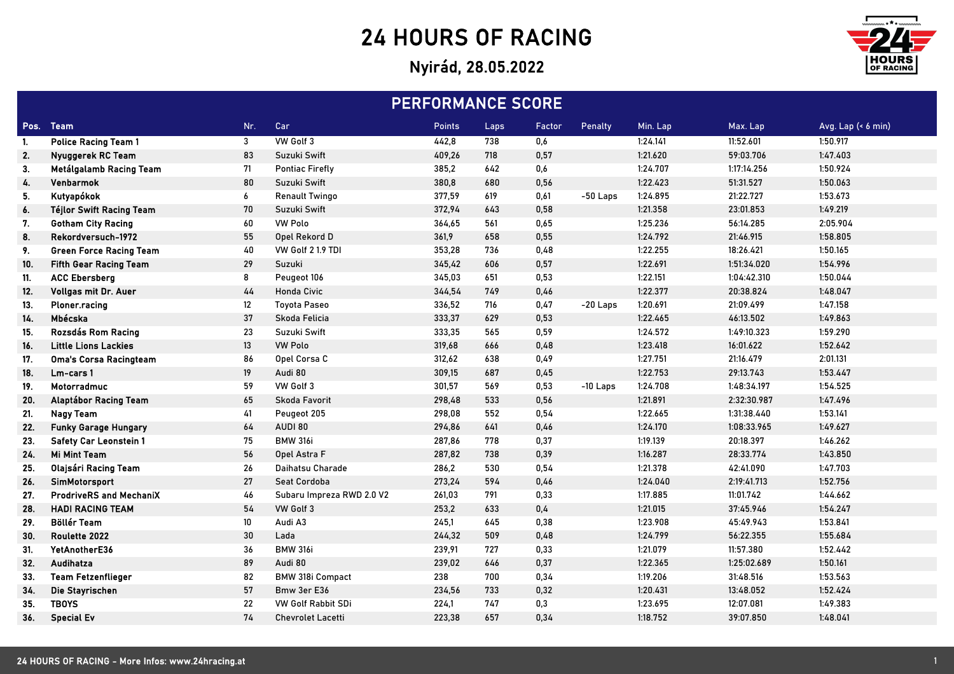## 24 HOURS OF RACING

## Nyirád, 28.05.2022



| <b>PERFORMANCE SCORE</b> |                                 |         |                           |        |      |        |            |          |             |                    |
|--------------------------|---------------------------------|---------|---------------------------|--------|------|--------|------------|----------|-------------|--------------------|
|                          | Pos. Team                       | Nr.     | Car                       | Points | Laps | Factor | Penalty    | Min. Lap | Max. Lap    | Avg. Lap (< 6 min) |
| 1.                       | <b>Police Racing Team 1</b>     | 3       | VW Golf 3                 | 442,8  | 738  | 0,6    |            | 1:24.141 | 11:52.601   | 1:50.917           |
| 2.                       | Nyuggerek RC Team               | 83      | Suzuki Swift              | 409,26 | 718  | 0,57   |            | 1:21.620 | 59:03.706   | 1:47.403           |
| 3.                       | Metálgalamb Racing Team         | 71      | <b>Pontiac Firefly</b>    | 385,2  | 642  | 0,6    |            | 1:24.707 | 1:17:14.256 | 1:50.924           |
| 4.                       | Venbarmok                       | 80      | Suzuki Swift              | 380,8  | 680  | 0,56   |            | 1:22.423 | 51:31.527   | 1:50.063           |
| 5.                       | Kutyapókok                      | 6       | <b>Renault Twingo</b>     | 377,59 | 619  | 0,61   | $-50$ Laps | 1:24.895 | 21:22.727   | 1:53.673           |
| 6.                       | <b>Téjlor Swift Racing Team</b> | 70      | Suzuki Swift              | 372,94 | 643  | 0,58   |            | 1:21.358 | 23:01.853   | 1:49.219           |
| 7.                       | <b>Gotham City Racing</b>       | 60      | <b>VW Polo</b>            | 364,65 | 561  | 0,65   |            | 1:25.236 | 56:14.285   | 2:05.904           |
| 8.                       | Rekordversuch-1972              | 55      | Opel Rekord D             | 361,9  | 658  | 0,55   |            | 1:24.792 | 21:46.915   | 1:58.805           |
| 9.                       | <b>Green Force Racing Team</b>  | 40      | VW Golf 2 1.9 TDI         | 353,28 | 736  | 0,48   |            | 1:22.255 | 18:26.421   | 1:50.165           |
| 10.                      | <b>Fifth Gear Racing Team</b>   | 29      | Suzuki                    | 345,42 | 606  | 0,57   |            | 1:22.691 | 1:51:34.020 | 1:54.996           |
| 11.                      | <b>ACC Ebersberg</b>            | 8       | Peugeot 106               | 345,03 | 651  | 0,53   |            | 1:22.151 | 1:04:42.310 | 1:50.044           |
| 12.                      | Vollgas mit Dr. Auer            | 44      | <b>Honda Civic</b>        | 344,54 | 749  | 0,46   |            | 1:22.377 | 20:38.824   | 1:48.047           |
| 13.                      | Ploner.racing                   | $12 \,$ | <b>Toyota Paseo</b>       | 336,52 | 716  | 0,47   | $-20$ Laps | 1:20.691 | 21:09.499   | 1:47.158           |
| 14.                      | Mbécska                         | 37      | Skoda Felicia             | 333,37 | 629  | 0,53   |            | 1:22.465 | 46:13.502   | 1:49.863           |
| 15.                      | Rozsdás Rom Racing              | 23      | Suzuki Swift              | 333,35 | 565  | 0,59   |            | 1:24.572 | 1:49:10.323 | 1:59.290           |
| 16.                      | <b>Little Lions Lackies</b>     | 13      | <b>VW Polo</b>            | 319,68 | 666  | 0,48   |            | 1:23.418 | 16:01.622   | 1:52.642           |
| 17.                      | Oma's Corsa Racingteam          | 86      | Opel Corsa C              | 312,62 | 638  | 0,49   |            | 1:27.751 | 21:16.479   | 2:01.131           |
| 18.                      | Lm-cars 1                       | 19      | Audi 80                   | 309,15 | 687  | 0,45   |            | 1:22.753 | 29:13.743   | 1:53.447           |
| 19.                      | Motorradmuc                     | 59      | VW Golf 3                 | 301,57 | 569  | 0,53   | $-10$ Laps | 1:24.708 | 1:48:34.197 | 1:54.525           |
| 20.                      | Alaptábor Racing Team           | 65      | Skoda Favorit             | 298,48 | 533  | 0,56   |            | 1:21.891 | 2:32:30.987 | 1:47.496           |
| 21.                      | <b>Nagy Team</b>                | 41      | Peugeot 205               | 298,08 | 552  | 0,54   |            | 1:22.665 | 1:31:38.440 | 1:53.141           |
| 22.                      | <b>Funky Garage Hungary</b>     | 64      | AUDI 80                   | 294,86 | 641  | 0,46   |            | 1:24.170 | 1:08:33.965 | 1:49.627           |
| 23.                      | <b>Safety Car Leonstein 1</b>   | 75      | <b>BMW 316i</b>           | 287,86 | 778  | 0,37   |            | 1:19.139 | 20:18.397   | 1:46.262           |
| 24.                      | <b>Mi Mint Team</b>             | 56      | Opel Astra F              | 287,82 | 738  | 0,39   |            | 1:16.287 | 28:33.774   | 1:43.850           |
| 25.                      | Olajsári Racing Team            | 26      | Daihatsu Charade          | 286,2  | 530  | 0,54   |            | 1:21.378 | 42:41.090   | 1:47.703           |
| 26.                      | SimMotorsport                   | 27      | Seat Cordoba              | 273,24 | 594  | 0,46   |            | 1:24.040 | 2:19:41.713 | 1:52.756           |
| 27.                      | <b>ProdriveRS and MechaniX</b>  | 46      | Subaru Impreza RWD 2.0 V2 | 261,03 | 791  | 0,33   |            | 1:17.885 | 11:01.742   | 1:44.662           |
| 28.                      | <b>HADI RACING TEAM</b>         | 54      | VW Golf 3                 | 253,2  | 633  | 0,4    |            | 1:21.015 | 37:45.946   | 1:54.247           |
| 29.                      | <b>Böllér Team</b>              | $10\,$  | Audi A3                   | 245,1  | 645  | 0,38   |            | 1:23.908 | 45:49.943   | 1:53.841           |
| 30.                      | Roulette 2022                   | 30      | Lada                      | 244,32 | 509  | 0,48   |            | 1:24.799 | 56:22.355   | 1:55.684           |
| 31.                      | YetAnotherE36                   | 36      | <b>BMW 316i</b>           | 239,91 | 727  | 0,33   |            | 1:21.079 | 11:57.380   | 1:52.442           |
| 32.                      | Audihatza                       | 89      | Audi 80                   | 239,02 | 646  | 0,37   |            | 1:22.365 | 1:25:02.689 | 1:50.161           |
| 33.                      | <b>Team Fetzenflieger</b>       | 82      | <b>BMW 318i Compact</b>   | 238    | 700  | 0,34   |            | 1:19.206 | 31:48.516   | 1:53.563           |
| 34.                      | Die Stayrischen                 | 57      | Bmw 3er E36               | 234,56 | 733  | 0,32   |            | 1:20.431 | 13:48.052   | 1:52.424           |
| 35.                      | <b>TBOYS</b>                    | 22      | <b>VW Golf Rabbit SDi</b> | 224,1  | 747  | 0,3    |            | 1:23.695 | 12:07.081   | 1:49.383           |
| 36.                      | <b>Special Ev</b>               | 74      | <b>Chevrolet Lacetti</b>  | 223,38 | 657  | 0,34   |            | 1:18.752 | 39:07.850   | 1:48.041           |